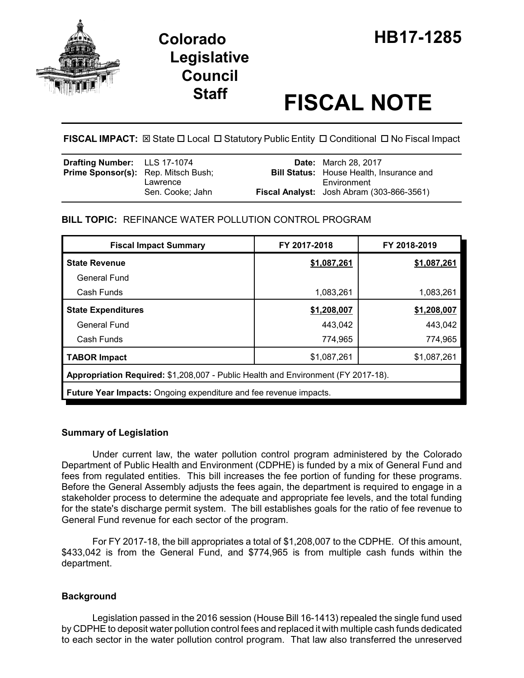



# **Staff FISCAL NOTE**

**FISCAL IMPACT:**  $\boxtimes$  **State □ Local □ Statutory Public Entity □ Conditional □ No Fiscal Impact** 

| <b>Drafting Number:</b> LLS 17-1074        |                  | <b>Date:</b> March 28, 2017                                    |
|--------------------------------------------|------------------|----------------------------------------------------------------|
| <b>Prime Sponsor(s):</b> Rep. Mitsch Bush; | Lawrence         | <b>Bill Status:</b> House Health, Insurance and<br>Environment |
|                                            | Sen. Cooke: Jahn | Fiscal Analyst: Josh Abram (303-866-3561)                      |

## **BILL TOPIC:** REFINANCE WATER POLLUTION CONTROL PROGRAM

| FY 2017-2018                                                                      | FY 2018-2019 |  |  |  |  |  |
|-----------------------------------------------------------------------------------|--------------|--|--|--|--|--|
| \$1,087,261                                                                       | \$1,087,261  |  |  |  |  |  |
|                                                                                   |              |  |  |  |  |  |
| 1,083,261                                                                         | 1,083,261    |  |  |  |  |  |
| \$1,208,007                                                                       | \$1,208,007  |  |  |  |  |  |
| 443,042                                                                           | 443,042      |  |  |  |  |  |
| 774,965                                                                           | 774,965      |  |  |  |  |  |
| \$1,087,261                                                                       | \$1,087,261  |  |  |  |  |  |
| Appropriation Required: \$1,208,007 - Public Health and Environment (FY 2017-18). |              |  |  |  |  |  |
| Future Year Impacts: Ongoing expenditure and fee revenue impacts.                 |              |  |  |  |  |  |
|                                                                                   |              |  |  |  |  |  |

## **Summary of Legislation**

Under current law, the water pollution control program administered by the Colorado Department of Public Health and Environment (CDPHE) is funded by a mix of General Fund and fees from regulated entities. This bill increases the fee portion of funding for these programs. Before the General Assembly adjusts the fees again, the department is required to engage in a stakeholder process to determine the adequate and appropriate fee levels, and the total funding for the state's discharge permit system. The bill establishes goals for the ratio of fee revenue to General Fund revenue for each sector of the program.

For FY 2017-18, the bill appropriates a total of \$1,208,007 to the CDPHE. Of this amount, \$433,042 is from the General Fund, and \$774,965 is from multiple cash funds within the department.

## **Background**

Legislation passed in the 2016 session (House Bill 16-1413) repealed the single fund used by CDPHE to deposit water pollution control fees and replaced it with multiple cash funds dedicated to each sector in the water pollution control program. That law also transferred the unreserved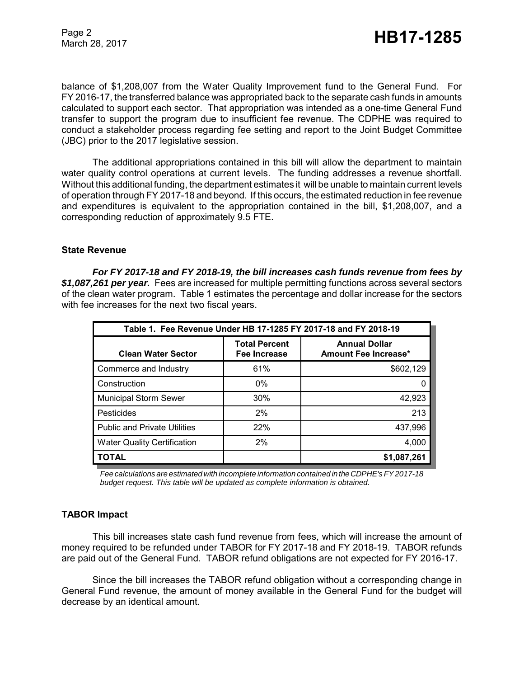Page 2

balance of \$1,208,007 from the Water Quality Improvement fund to the General Fund. For FY 2016-17, the transferred balance was appropriated back to the separate cash funds in amounts calculated to support each sector. That appropriation was intended as a one-time General Fund transfer to support the program due to insufficient fee revenue. The CDPHE was required to conduct a stakeholder process regarding fee setting and report to the Joint Budget Committee (JBC) prior to the 2017 legislative session.

The additional appropriations contained in this bill will allow the department to maintain water quality control operations at current levels. The funding addresses a revenue shortfall. Without this additional funding, the department estimates it will be unable to maintain current levels of operation through FY 2017-18 and beyond. If this occurs, the estimated reduction in fee revenue and expenditures is equivalent to the appropriation contained in the bill, \$1,208,007, and a corresponding reduction of approximately 9.5 FTE.

#### **State Revenue**

*For FY 2017-18 and FY 2018-19, the bill increases cash funds revenue from fees by \$1,087,261 per year.* Fees are increased for multiple permitting functions across several sectors of the clean water program. Table 1 estimates the percentage and dollar increase for the sectors with fee increases for the next two fiscal years.

| Table 1. Fee Revenue Under HB 17-1285 FY 2017-18 and FY 2018-19 |                                      |                                                     |  |  |  |  |
|-----------------------------------------------------------------|--------------------------------------|-----------------------------------------------------|--|--|--|--|
| <b>Clean Water Sector</b>                                       | <b>Total Percent</b><br>Fee Increase | <b>Annual Dollar</b><br><b>Amount Fee Increase*</b> |  |  |  |  |
| Commerce and Industry                                           | 61%                                  | \$602,129                                           |  |  |  |  |
| Construction                                                    | $0\%$                                |                                                     |  |  |  |  |
| <b>Municipal Storm Sewer</b>                                    | 30%                                  | 42,923                                              |  |  |  |  |
| Pesticides                                                      | 2%                                   | 213                                                 |  |  |  |  |
| <b>Public and Private Utilities</b>                             | 22%                                  | 437,996                                             |  |  |  |  |
| <b>Water Quality Certification</b>                              | 2%                                   | 4,000                                               |  |  |  |  |
| <b>TOTAL</b>                                                    |                                      | \$1,087,261                                         |  |  |  |  |

*Fee calculations are estimated with incomplete information contained in the CDPHE's FY 2017-18 budget request. This table will be updated as complete information is obtained.*

#### **TABOR Impact**

This bill increases state cash fund revenue from fees, which will increase the amount of money required to be refunded under TABOR for FY 2017-18 and FY 2018-19. TABOR refunds are paid out of the General Fund. TABOR refund obligations are not expected for FY 2016-17.

Since the bill increases the TABOR refund obligation without a corresponding change in General Fund revenue, the amount of money available in the General Fund for the budget will decrease by an identical amount.